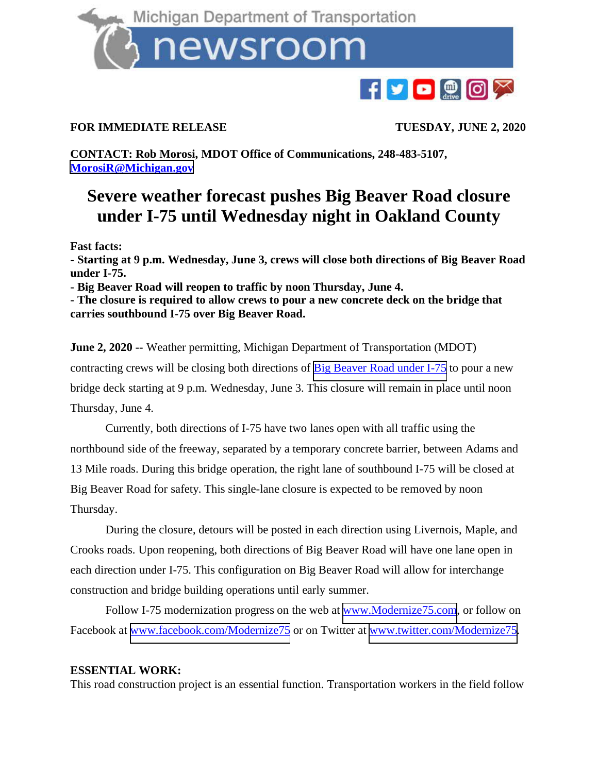

## newsroom



## **FOR IMMEDIATE RELEASE TUESDAY, JUNE 2, 2020**

**CONTACT: Rob Morosi, MDOT Office of Communications, 248-483-5107, [MorosiR@Michigan.gov](mailto:MorosiR@Michigan.gov)**

## **Severe weather forecast pushes Big Beaver Road closure under I-75 until Wednesday night in Oakland County**

**Fast facts:**

**- Starting at 9 p.m. Wednesday, June 3, crews will close both directions of Big Beaver Road under I-75.**

**- Big Beaver Road will reopen to traffic by noon Thursday, June 4.**

**- The closure is required to allow crews to pour a new concrete deck on the bridge that carries southbound I-75 over Big Beaver Road.**

**June 2, 2020 --** Weather permitting, Michigan Department of Transportation (MDOT) contracting crews will be closing both directions of [Big Beaver Road under I-75](https://mdotjboss.state.mi.us/MiDrive/map?constZone=true&incidents=true&plows=true&lat=42.56089256296466&lon=-83.15613508400449&zoom=14) to pour a new bridge deck starting at 9 p.m. Wednesday, June 3. This closure will remain in place until noon Thursday, June 4.

Currently, both directions of I-75 have two lanes open with all traffic using the northbound side of the freeway, separated by a temporary concrete barrier, between Adams and 13 Mile roads. During this bridge operation, the right lane of southbound I-75 will be closed at Big Beaver Road for safety. This single-lane closure is expected to be removed by noon Thursday.

During the closure, detours will be posted in each direction using Livernois, Maple, and Crooks roads. Upon reopening, both directions of Big Beaver Road will have one lane open in each direction under I-75. This configuration on Big Beaver Road will allow for interchange construction and bridge building operations until early summer.

Follow I-75 modernization progress on the web at <u>[www.Modernize75.com](http://www.modernize75.com/)</u>, or follow on Facebook at [www.facebook.com/Modernize75](http://www.facebook.com/Modernize75) or on Twitter at [www.twitter.com/Modernize75.](http://www.twitter.com/Modernize75)

## **ESSENTIAL WORK:**

This road construction project is an essential function. Transportation workers in the field follow